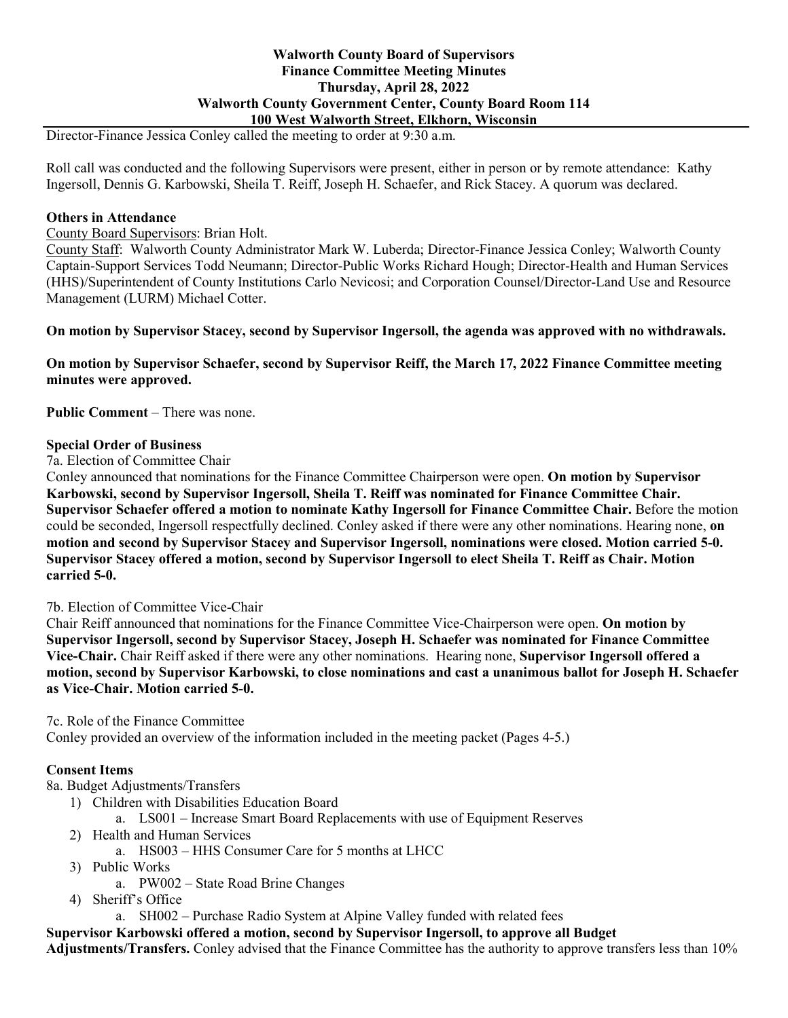### **Walworth County Board of Supervisors Finance Committee Meeting Minutes Thursday, April 28, 2022 Walworth County Government Center, County Board Room 114 100 West Walworth Street, Elkhorn, Wisconsin**

Director-Finance Jessica Conley called the meeting to order at 9:30 a.m.

Roll call was conducted and the following Supervisors were present, either in person or by remote attendance: Kathy Ingersoll, Dennis G. Karbowski, Sheila T. Reiff, Joseph H. Schaefer, and Rick Stacey. A quorum was declared.

### **Others in Attendance**

County Board Supervisors: Brian Holt.

County Staff: Walworth County Administrator Mark W. Luberda; Director-Finance Jessica Conley; Walworth County Captain-Support Services Todd Neumann; Director-Public Works Richard Hough; Director-Health and Human Services (HHS)/Superintendent of County Institutions Carlo Nevicosi; and Corporation Counsel/Director-Land Use and Resource Management (LURM) Michael Cotter.

**On motion by Supervisor Stacey, second by Supervisor Ingersoll, the agenda was approved with no withdrawals.**

**On motion by Supervisor Schaefer, second by Supervisor Reiff, the March 17, 2022 Finance Committee meeting minutes were approved.**

**Public Comment** – There was none.

#### **Special Order of Business**

7a. Election of Committee Chair

Conley announced that nominations for the Finance Committee Chairperson were open. **On motion by Supervisor Karbowski, second by Supervisor Ingersoll, Sheila T. Reiff was nominated for Finance Committee Chair. Supervisor Schaefer offered a motion to nominate Kathy Ingersoll for Finance Committee Chair.** Before the motion could be seconded, Ingersoll respectfully declined. Conley asked if there were any other nominations. Hearing none, **on motion and second by Supervisor Stacey and Supervisor Ingersoll, nominations were closed. Motion carried 5-0. Supervisor Stacey offered a motion, second by Supervisor Ingersoll to elect Sheila T. Reiff as Chair. Motion carried 5-0.** 

### 7b. Election of Committee Vice-Chair

Chair Reiff announced that nominations for the Finance Committee Vice-Chairperson were open. **On motion by Supervisor Ingersoll, second by Supervisor Stacey, Joseph H. Schaefer was nominated for Finance Committee Vice-Chair.** Chair Reiff asked if there were any other nominations. Hearing none, **Supervisor Ingersoll offered a motion, second by Supervisor Karbowski, to close nominations and cast a unanimous ballot for Joseph H. Schaefer as Vice-Chair. Motion carried 5-0.** 

7c. Role of the Finance Committee

Conley provided an overview of the information included in the meeting packet (Pages 4-5.)

### **Consent Items**

8a. Budget Adjustments/Transfers

- 1) Children with Disabilities Education Board
	- a. LS001 Increase Smart Board Replacements with use of Equipment Reserves
- 2) Health and Human Services
	- a. HS003 HHS Consumer Care for 5 months at LHCC
- 3) Public Works
	- a. PW002 State Road Brine Changes
- 4) Sheriff's Office

a. SH002 – Purchase Radio System at Alpine Valley funded with related fees

**Supervisor Karbowski offered a motion, second by Supervisor Ingersoll, to approve all Budget** 

**Adjustments/Transfers.** Conley advised that the Finance Committee has the authority to approve transfers less than 10%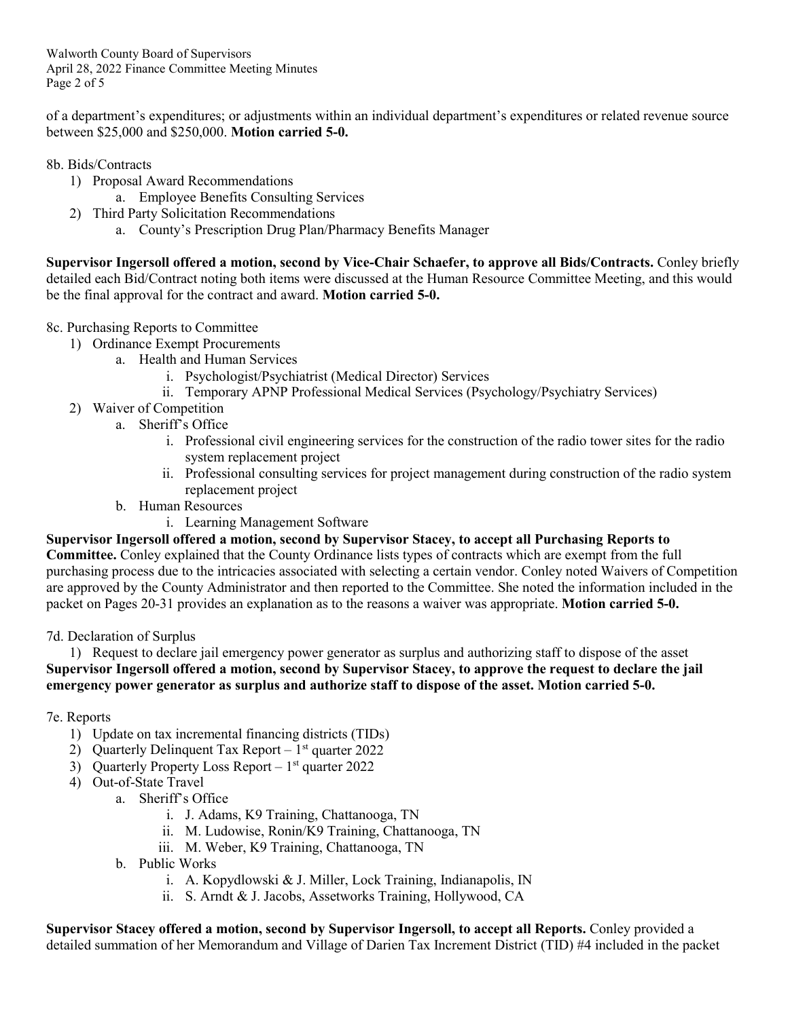Walworth County Board of Supervisors April 28, 2022 Finance Committee Meeting Minutes Page 2 of 5

of a department's expenditures; or adjustments within an individual department's expenditures or related revenue source between \$25,000 and \$250,000. **Motion carried 5-0.**

## 8b. Bids/Contracts

- 1) Proposal Award Recommendations
	- a. Employee Benefits Consulting Services
- 2) Third Party Solicitation Recommendations
	- a. County's Prescription Drug Plan/Pharmacy Benefits Manager

**Supervisor Ingersoll offered a motion, second by Vice-Chair Schaefer, to approve all Bids/Contracts.** Conley briefly detailed each Bid/Contract noting both items were discussed at the Human Resource Committee Meeting, and this would be the final approval for the contract and award. **Motion carried 5-0.**

# 8c. Purchasing Reports to Committee

- 1) Ordinance Exempt Procurements
	- a. Health and Human Services
		- i. Psychologist/Psychiatrist (Medical Director) Services
		- ii. Temporary APNP Professional Medical Services (Psychology/Psychiatry Services)
- 2) Waiver of Competition
	- a. Sheriff's Office
		- i. Professional civil engineering services for the construction of the radio tower sites for the radio system replacement project
		- ii. Professional consulting services for project management during construction of the radio system replacement project
	- b. Human Resources
		- i. Learning Management Software

**Supervisor Ingersoll offered a motion, second by Supervisor Stacey, to accept all Purchasing Reports to Committee.** Conley explained that the County Ordinance lists types of contracts which are exempt from the full purchasing process due to the intricacies associated with selecting a certain vendor. Conley noted Waivers of Competition are approved by the County Administrator and then reported to the Committee. She noted the information included in the packet on Pages 20-31 provides an explanation as to the reasons a waiver was appropriate. **Motion carried 5-0.**

### 7d. Declaration of Surplus

1) Request to declare jail emergency power generator as surplus and authorizing staff to dispose of the asset **Supervisor Ingersoll offered a motion, second by Supervisor Stacey, to approve the request to declare the jail emergency power generator as surplus and authorize staff to dispose of the asset. Motion carried 5-0.**

# 7e. Reports

- 1) Update on tax incremental financing districts (TIDs)
- 2) Quarterly Delinquent Tax Report  $1<sup>st</sup>$  quarter 2022
- 3) Quarterly Property Loss Report  $1<sup>st</sup>$  quarter 2022
- 4) Out-of-State Travel
	- a. Sheriff's Office
		- i. J. Adams, K9 Training, Chattanooga, TN
		- ii. M. Ludowise, Ronin/K9 Training, Chattanooga, TN
		- iii. M. Weber, K9 Training, Chattanooga, TN
		- b. Public Works
			- i. A. Kopydlowski & J. Miller, Lock Training, Indianapolis, IN
			- ii. S. Arndt & J. Jacobs, Assetworks Training, Hollywood, CA

**Supervisor Stacey offered a motion, second by Supervisor Ingersoll, to accept all Reports.** Conley provided a detailed summation of her Memorandum and Village of Darien Tax Increment District (TID) #4 included in the packet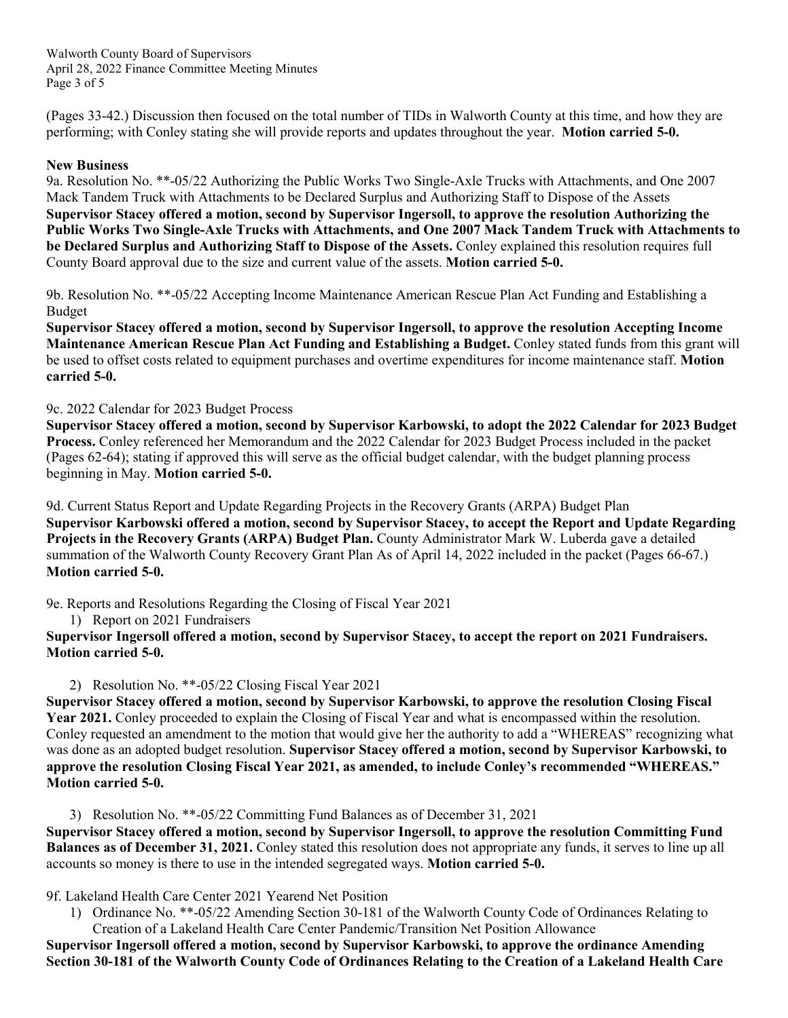Walworth County Board of Supervisors April 28, 2022 Finance Committee Meeting Minutes Page 3 of 5

(Pages 33-42.) Discussion then focused on the total number of TIDs in Walworth County at this time, and how they are performing; with Conley stating she will provide reports and updates throughout the year. **Motion carried 5-0.**

## **New Business**

9a. Resolution No. \*\*-05/22 Authorizing the Public Works Two Single-Axle Trucks with Attachments, and One 2007 Mack Tandem Truck with Attachments to be Declared Surplus and Authorizing Staff to Dispose of the Assets **Supervisor Stacey offered a motion, second by Supervisor Ingersoll, to approve the resolution Authorizing the Public Works Two Single-Axle Trucks with Attachments, and One 2007 Mack Tandem Truck with Attachments to be Declared Surplus and Authorizing Staff to Dispose of the Assets.** Conley explained this resolution requires full County Board approval due to the size and current value of the assets. **Motion carried 5-0.**

9b. Resolution No. \*\*-05/22 Accepting Income Maintenance American Rescue Plan Act Funding and Establishing a Budget

**Supervisor Stacey offered a motion, second by Supervisor Ingersoll, to approve the resolution Accepting Income Maintenance American Rescue Plan Act Funding and Establishing a Budget.** Conley stated funds from this grant will be used to offset costs related to equipment purchases and overtime expenditures for income maintenance staff. **Motion carried 5-0.**

## 9c. 2022 Calendar for 2023 Budget Process

**Supervisor Stacey offered a motion, second by Supervisor Karbowski, to adopt the 2022 Calendar for 2023 Budget Process.** Conley referenced her Memorandum and the 2022 Calendar for 2023 Budget Process included in the packet (Pages 62-64); stating if approved this will serve as the official budget calendar, with the budget planning process beginning in May. **Motion carried 5-0.**

9d. Current Status Report and Update Regarding Projects in the Recovery Grants (ARPA) Budget Plan **Supervisor Karbowski offered a motion, second by Supervisor Stacey, to accept the Report and Update Regarding Projects in the Recovery Grants (ARPA) Budget Plan.** County Administrator Mark W. Luberda gave a detailed summation of the Walworth County Recovery Grant Plan As of April 14, 2022 included in the packet (Pages 66-67.) **Motion carried 5-0.**

9e. Reports and Resolutions Regarding the Closing of Fiscal Year 2021

1) Report on 2021 Fundraisers

**Supervisor Ingersoll offered a motion, second by Supervisor Stacey, to accept the report on 2021 Fundraisers. Motion carried 5-0.**

2) Resolution No. \*\*-05/22 Closing Fiscal Year 2021

**Supervisor Stacey offered a motion, second by Supervisor Karbowski, to approve the resolution Closing Fiscal Year 2021.** Conley proceeded to explain the Closing of Fiscal Year and what is encompassed within the resolution. Conley requested an amendment to the motion that would give her the authority to add a "WHEREAS" recognizing what was done as an adopted budget resolution. **Supervisor Stacey offered a motion, second by Supervisor Karbowski, to approve the resolution Closing Fiscal Year 2021, as amended, to include Conley's recommended "WHEREAS." Motion carried 5-0.**

3) Resolution No. \*\*-05/22 Committing Fund Balances as of December 31, 2021

**Supervisor Stacey offered a motion, second by Supervisor Ingersoll, to approve the resolution Committing Fund Balances as of December 31, 2021.** Conley stated this resolution does not appropriate any funds, it serves to line up all accounts so money is there to use in the intended segregated ways. **Motion carried 5-0.**

### 9f. Lakeland Health Care Center 2021 Yearend Net Position

1) Ordinance No. \*\*-05/22 Amending Section 30-181 of the Walworth County Code of Ordinances Relating to Creation of a Lakeland Health Care Center Pandemic/Transition Net Position Allowance

**Supervisor Ingersoll offered a motion, second by Supervisor Karbowski, to approve the ordinance Amending Section 30-181 of the Walworth County Code of Ordinances Relating to the Creation of a Lakeland Health Care**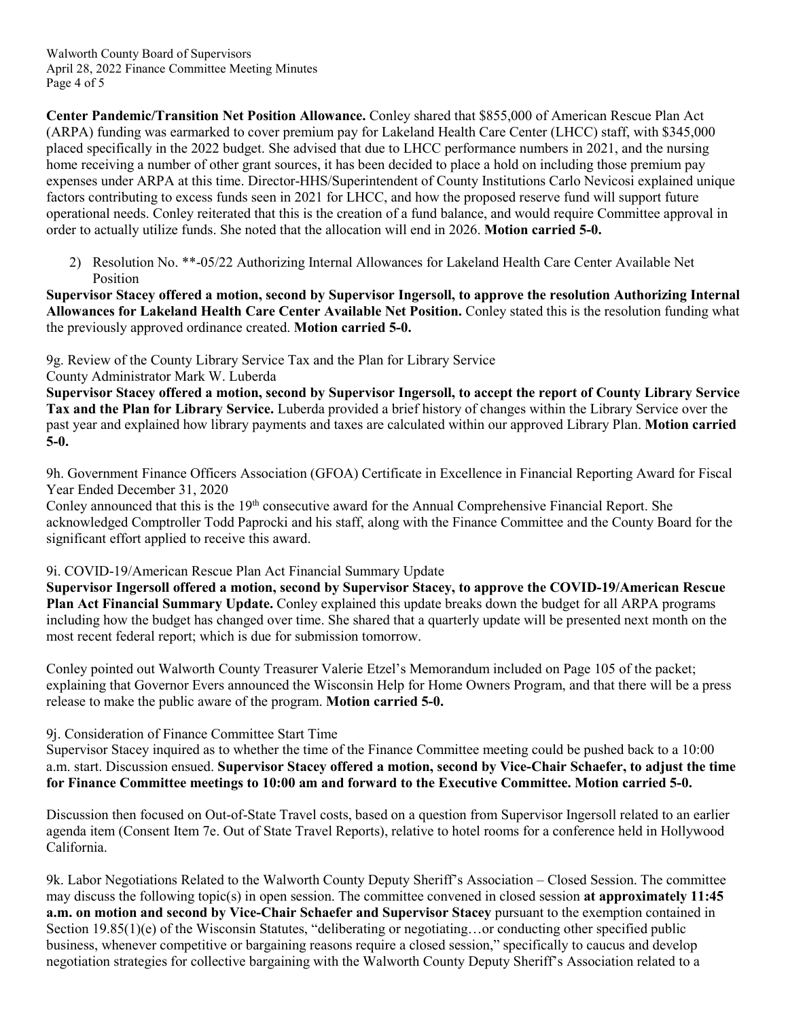Walworth County Board of Supervisors April 28, 2022 Finance Committee Meeting Minutes Page 4 of 5

**Center Pandemic/Transition Net Position Allowance.** Conley shared that \$855,000 of American Rescue Plan Act (ARPA) funding was earmarked to cover premium pay for Lakeland Health Care Center (LHCC) staff, with \$345,000 placed specifically in the 2022 budget. She advised that due to LHCC performance numbers in 2021, and the nursing home receiving a number of other grant sources, it has been decided to place a hold on including those premium pay expenses under ARPA at this time. Director-HHS/Superintendent of County Institutions Carlo Nevicosi explained unique factors contributing to excess funds seen in 2021 for LHCC, and how the proposed reserve fund will support future operational needs. Conley reiterated that this is the creation of a fund balance, and would require Committee approval in order to actually utilize funds. She noted that the allocation will end in 2026. **Motion carried 5-0.**

2) Resolution No. \*\*-05/22 Authorizing Internal Allowances for Lakeland Health Care Center Available Net Position

**Supervisor Stacey offered a motion, second by Supervisor Ingersoll, to approve the resolution Authorizing Internal Allowances for Lakeland Health Care Center Available Net Position.** Conley stated this is the resolution funding what the previously approved ordinance created. **Motion carried 5-0.**

9g. Review of the County Library Service Tax and the Plan for Library Service County Administrator Mark W. Luberda

**Supervisor Stacey offered a motion, second by Supervisor Ingersoll, to accept the report of County Library Service Tax and the Plan for Library Service.** Luberda provided a brief history of changes within the Library Service over the past year and explained how library payments and taxes are calculated within our approved Library Plan. **Motion carried 5-0.**

9h. Government Finance Officers Association (GFOA) Certificate in Excellence in Financial Reporting Award for Fiscal Year Ended December 31, 2020

Conley announced that this is the 19<sup>th</sup> consecutive award for the Annual Comprehensive Financial Report. She acknowledged Comptroller Todd Paprocki and his staff, along with the Finance Committee and the County Board for the significant effort applied to receive this award.

# 9i. COVID-19/American Rescue Plan Act Financial Summary Update

**Supervisor Ingersoll offered a motion, second by Supervisor Stacey, to approve the COVID-19/American Rescue Plan Act Financial Summary Update.** Conley explained this update breaks down the budget for all ARPA programs including how the budget has changed over time. She shared that a quarterly update will be presented next month on the most recent federal report; which is due for submission tomorrow.

Conley pointed out Walworth County Treasurer Valerie Etzel's Memorandum included on Page 105 of the packet; explaining that Governor Evers announced the Wisconsin Help for Home Owners Program, and that there will be a press release to make the public aware of the program. **Motion carried 5-0.**

9j. Consideration of Finance Committee Start Time

Supervisor Stacey inquired as to whether the time of the Finance Committee meeting could be pushed back to a 10:00 a.m. start. Discussion ensued. **Supervisor Stacey offered a motion, second by Vice-Chair Schaefer, to adjust the time for Finance Committee meetings to 10:00 am and forward to the Executive Committee. Motion carried 5-0.**

Discussion then focused on Out-of-State Travel costs, based on a question from Supervisor Ingersoll related to an earlier agenda item (Consent Item 7e. Out of State Travel Reports), relative to hotel rooms for a conference held in Hollywood California.

9k. Labor Negotiations Related to the Walworth County Deputy Sheriff's Association – Closed Session. The committee may discuss the following topic(s) in open session. The committee convened in closed session **at approximately 11:45 a.m. on motion and second by Vice-Chair Schaefer and Supervisor Stacey** pursuant to the exemption contained in Section 19.85(1)(e) of the Wisconsin Statutes, "deliberating or negotiating... or conducting other specified public business, whenever competitive or bargaining reasons require a closed session," specifically to caucus and develop negotiation strategies for collective bargaining with the Walworth County Deputy Sheriff's Association related to a